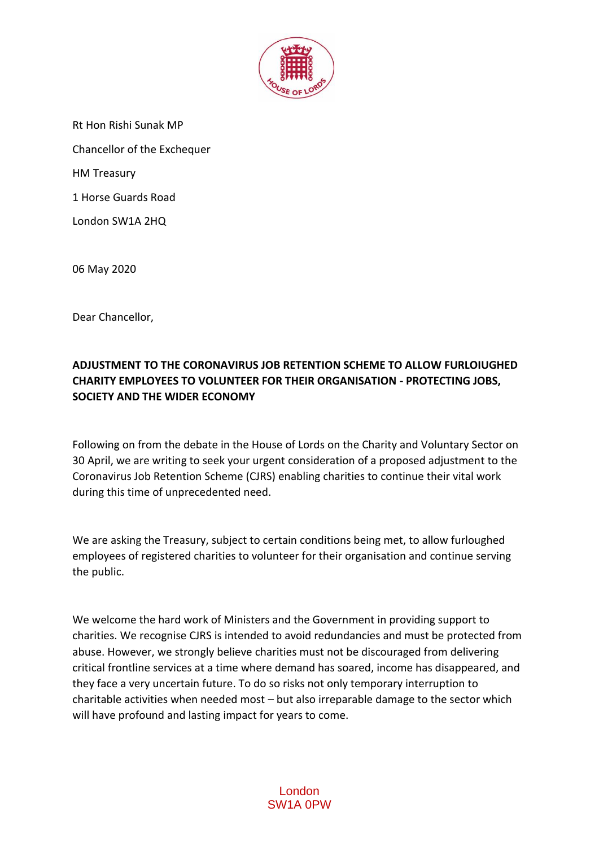

Rt Hon Rishi Sunak MP Chancellor of the Exchequer HM Treasury 1 Horse Guards Road London SW1A 2HQ

06 May 2020

Dear Chancellor,

## **ADJUSTMENT TO THE CORONAVIRUS JOB RETENTION SCHEME TO ALLOW FURLOIUGHED CHARITY EMPLOYEES TO VOLUNTEER FOR THEIR ORGANISATION - PROTECTING JOBS, SOCIETY AND THE WIDER ECONOMY**

Following on from the debate in the House of Lords on the Charity and Voluntary Sector on 30 April, we are writing to seek your urgent consideration of a proposed adjustment to the Coronavirus Job Retention Scheme (CJRS) enabling charities to continue their vital work during this time of unprecedented need.

We are asking the Treasury, subject to certain conditions being met, to allow furloughed employees of registered charities to volunteer for their organisation and continue serving the public.

We welcome the hard work of Ministers and the Government in providing support to charities. We recognise CJRS is intended to avoid redundancies and must be protected from abuse. However, we strongly believe charities must not be discouraged from delivering critical frontline services at a time where demand has soared, income has disappeared, and they face a very uncertain future. To do so risks not only temporary interruption to charitable activities when needed most – but also irreparable damage to the sector which will have profound and lasting impact for years to come.

## London SW1A 0PW